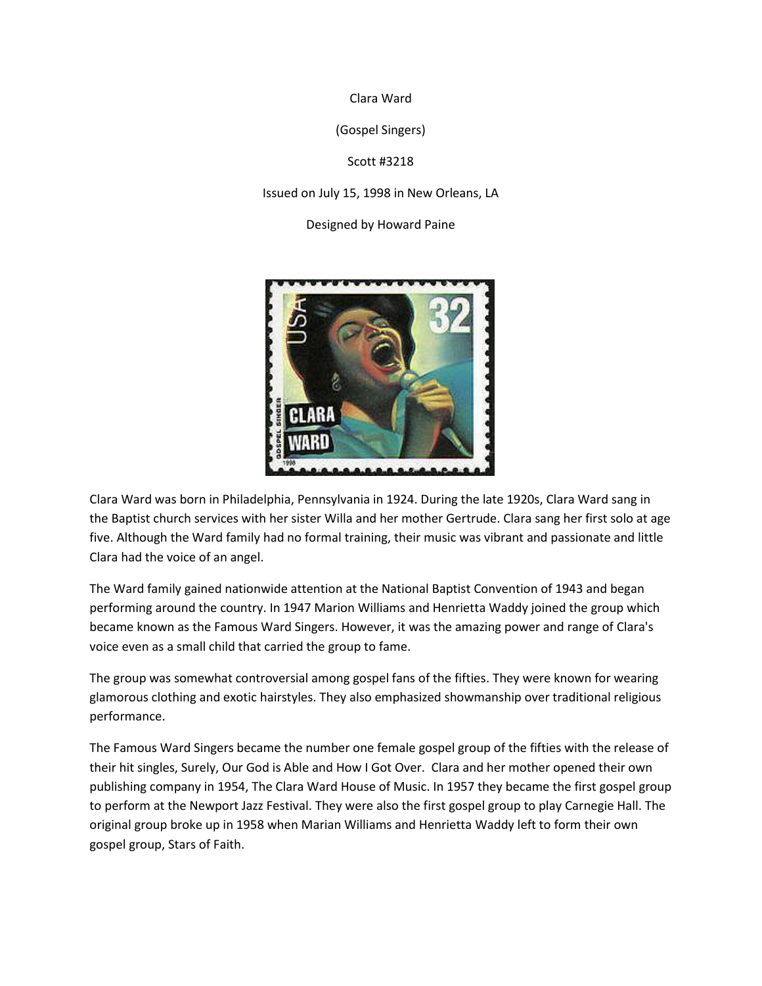Clara Ward

(Gospel Singers)

Scott #3218

Issued on July 15, 1998 in New Orleans, LA

Designed by Howard Paine



Clara Ward was born in Philadelphia, Pennsylvania in 1924. During the late 1920s, Clara Ward sang in the Baptist church services with her sister Willa and her mother Gertrude. Clara sang her first solo at age five. Although the Ward family had no formal training, their music was vibrant and passionate and little Clara had the voice of an angel.

The Ward family gained nationwide attention at the National Baptist Convention of 1943 and began performing around the country. In 1947 Marion Williams and Henrietta Waddy joined the group which became known as the Famous Ward Singers. However, it was the amazing power and range of Clara's voice even as a small child that carried the group to fame.

The group was somewhat controversial among gospel fans of the fifties. They were known for wearing glamorous clothing and exotic hairstyles. They also emphasized showmanship over traditional religious performance.

The Famous Ward Singers became the number one female gospel group of the fifties with the release of their hit singles, Surely, Our God is Able and How I Got Over. Clara and her mother opened their own publishing company in 1954, The Clara Ward House of Music. In 1957 they became the first gospel group to perform at the Newport Jazz Festival. They were also the first gospel group to play Carnegie Hall. The original group broke up in 1958 when Marian Williams and Henrietta Waddy left to form their own gospel group, Stars of Faith.